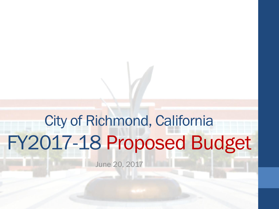# City of Richmond, California FY2017-18 Proposed Budget

June 20, 2017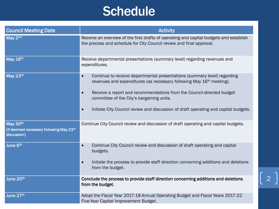## **Schedule**

| <b>Council Meeting Date</b>                                        | <b>Activity</b>                                                                                                                                                           |
|--------------------------------------------------------------------|---------------------------------------------------------------------------------------------------------------------------------------------------------------------------|
| May 2 <sup>nd</sup>                                                | Receive an overview of the first drafts of operating and capital budgets and establish<br>the process and schedule for City Council review and final approval.            |
| May 16th                                                           | Receive departmental presentations (summary level) regarding revenues and<br>expenditures.                                                                                |
| May 23rd                                                           | Continue to receive departmental presentations (summary level) regarding<br>$\bullet$<br>revenues and expenditures (as necessary following May 16 <sup>th</sup> meeting). |
|                                                                    | Receive a report and recommendations from the Council-directed budget<br>$\bullet$<br>committee of the City's bargaining units.                                           |
|                                                                    | Initiate City Council review and discussion of draft operating and capital budgets.<br>$\bullet$                                                                          |
| May 30th<br>(if deemed necessary following May 23rd<br>discussion) | Continue City Council review and discussion of draft operating and capital budgets.                                                                                       |
| June 6th                                                           | Continue City Council review and discussion of draft operating and capital<br>$\bullet$<br>budgets.                                                                       |
|                                                                    | Initiate the process to provide staff direction concerning additions and deletions<br>$\bullet$<br>from the budget.                                                       |
| June 20th                                                          | Conclude the process to provide staff direction concerning additions and deletions<br>from the budget.                                                                    |
| June 27th                                                          | Adopt the Fiscal Year 2017-18 Annual Operating Budget and Fiscal Years 2017-22<br>Five-Year Capital Improvement Budget.                                                   |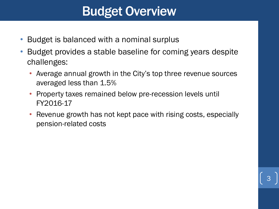#### Budget Overview

- Budget is balanced with a nominal surplus
- Budget provides a stable baseline for coming years despite challenges:
	- Average annual growth in the City's top three revenue sources averaged less than 1.5%
	- Property taxes remained below pre-recession levels until FY2016-17
	- Revenue growth has not kept pace with rising costs, especially pension-related costs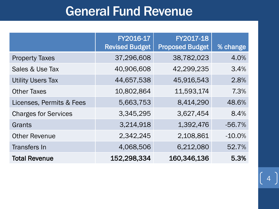# General Fund Revenue

|                             | FY2016-17<br><b>Revised Budget</b> | FY2017-18<br><b>Proposed Budget</b> | % change  |
|-----------------------------|------------------------------------|-------------------------------------|-----------|
| <b>Property Taxes</b>       | 37,296,608                         | 38,782,023                          | 4.0%      |
| Sales & Use Tax             | 40,906,608                         | 42,299,235                          | 3.4%      |
| <b>Utility Users Tax</b>    | 44,657,538                         | 45,916,543                          | 2.8%      |
| <b>Other Taxes</b>          | 10,802,864                         | 11,593,174                          | 7.3%      |
| Licenses, Permits & Fees    | 5,663,753                          | 8,414,290                           | 48.6%     |
| <b>Charges for Services</b> | 3,345,295                          | 3,627,454                           | 8.4%      |
| Grants                      | 3,214,918                          | 1,392,476                           | $-56.7%$  |
| <b>Other Revenue</b>        | 2,342,245                          | 2,108,861                           | $-10.0\%$ |
| <b>Transfers In</b>         | 4,068,506                          | 6,212,080                           | 52.7%     |
| <b>Total Revenue</b>        | 152,298,334                        | 160,346,136                         | 5.3%      |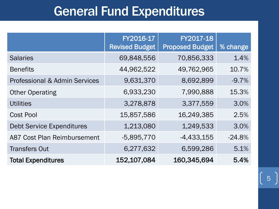#### General Fund Expenditures

|                                          | FY2016-17<br><b>Revised Budget</b> | FY2017-18<br><b>Proposed Budget</b> | % change |
|------------------------------------------|------------------------------------|-------------------------------------|----------|
| <b>Salaries</b>                          | 69,848,556                         | 70,856,333                          | 1.4%     |
| <b>Benefits</b>                          | 44,962,522                         | 49,762,965                          | 10.7%    |
| <b>Professional &amp; Admin Services</b> | 9,631,370                          | 8,692,899                           | $-9.7%$  |
| <b>Other Operating</b>                   | 6,933,230                          | 7,990,888                           | 15.3%    |
| <b>Utilities</b>                         | 3,278,878                          | 3,377,559                           | 3.0%     |
| <b>Cost Pool</b>                         | 15,857,586                         | 16,249,385                          | 2.5%     |
| <b>Debt Service Expenditures</b>         | 1,213,080                          | 1,249,533                           | 3.0%     |
| <b>A87 Cost Plan Reimbursement</b>       | $-5,895,770$                       | $-4,433,155$                        | $-24.8%$ |
| <b>Transfers Out</b>                     | 6,277,632                          | 6,599,286                           | 5.1%     |
| <b>Total Expenditures</b>                | 152,107,084                        | 160,345,694                         | 5.4%     |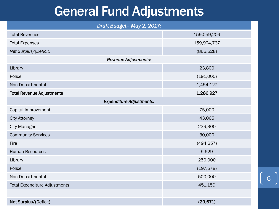#### General Fund Adjustments

| Draft Budget-May 2, 2017:            |             |  |  |
|--------------------------------------|-------------|--|--|
| <b>Total Revenues</b>                | 159,059,209 |  |  |
| <b>Total Expenses</b>                | 159,924,737 |  |  |
| Net Surplus/(Deficit)                | (865, 528)  |  |  |
| <b>Revenue Adjustments:</b>          |             |  |  |
| Library                              | 23,800      |  |  |
| Police                               | (191,000)   |  |  |
| Non-Departmental                     | 1,454,127   |  |  |
| <b>Total Revenue Adjustments</b>     | 1,286,927   |  |  |
| <b>Expenditure Adjustments:</b>      |             |  |  |
| Capital Improvement                  | 75,000      |  |  |
| <b>City Attorney</b>                 | 43,065      |  |  |
| <b>City Manager</b>                  | 239,300     |  |  |
| <b>Community Services</b>            | 30,000      |  |  |
| Fire                                 | (494, 257)  |  |  |
| <b>Human Resources</b>               | 5,629       |  |  |
| Library                              | 250,000     |  |  |
| Police                               | (197, 578)  |  |  |
| Non-Departmental                     | 500,000     |  |  |
| <b>Total Expenditure Adjustments</b> | 451,159     |  |  |
|                                      |             |  |  |
| Net Surplus/(Deficit)                | (29, 671)   |  |  |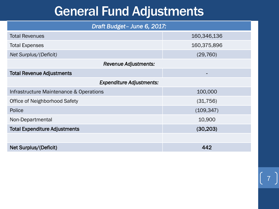#### General Fund Adjustments

| Draft Budget- June 6, 2017:             |             |  |  |
|-----------------------------------------|-------------|--|--|
| <b>Total Revenues</b>                   | 160,346,136 |  |  |
| <b>Total Expenses</b>                   | 160,375,896 |  |  |
| Net Surplus/(Deficit)                   | (29, 760)   |  |  |
| <b>Revenue Adjustments:</b>             |             |  |  |
| <b>Total Revenue Adjustments</b>        | ۰           |  |  |
| <b>Expenditure Adjustments:</b>         |             |  |  |
| Infrastructure Maintenance & Operations | 100,000     |  |  |
| <b>Office of Neighborhood Safety</b>    | (31, 756)   |  |  |
| Police                                  | (109, 347)  |  |  |
| Non-Departmental                        | 10,900      |  |  |
| <b>Total Expenditure Adjustments</b>    | (30, 203)   |  |  |
|                                         |             |  |  |
| Net Surplus/(Deficit)                   | 442         |  |  |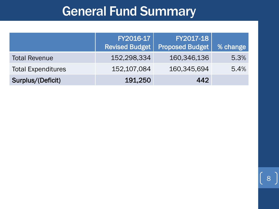# General Fund Summary

|                           | FY2016-17<br><b>Revised Budget</b> | FY2017-18<br><b>Proposed Budget</b> | <b>% change</b> |
|---------------------------|------------------------------------|-------------------------------------|-----------------|
| <b>Total Revenue</b>      | 152,298,334                        | 160,346,136                         | 5.3%            |
| <b>Total Expenditures</b> | 152,107,084                        | 160,345,694                         | 5.4%            |
| Surplus/(Deficit)         | 191,250                            | 442                                 |                 |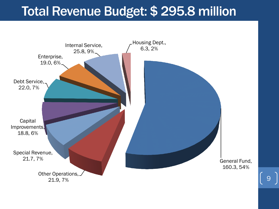#### Total Revenue Budget: \$ 295.8 million

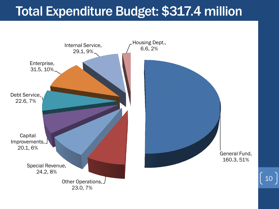### Total Expenditure Budget: \$317.4 million